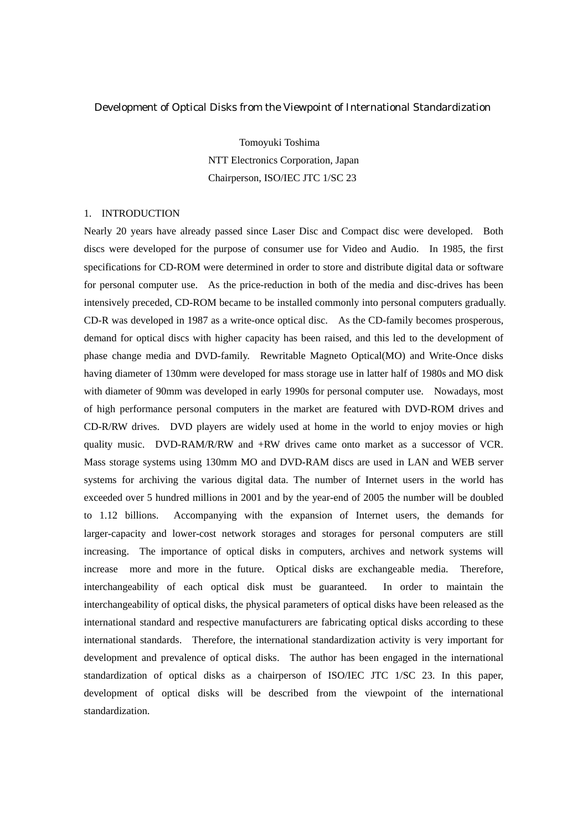#### Development of Optical Disks from the Viewpoint of International Standardization

Tomoyuki Toshima NTT Electronics Corporation, Japan Chairperson, ISO/IEC JTC 1/SC 23

### 1. INTRODUCTION

Nearly 20 years have already passed since Laser Disc and Compact disc were developed. Both discs were developed for the purpose of consumer use for Video and Audio. In 1985, the first specifications for CD-ROM were determined in order to store and distribute digital data or software for personal computer use. As the price-reduction in both of the media and disc-drives has been intensively preceded, CD-ROM became to be installed commonly into personal computers gradually. CD-R was developed in 1987 as a write-once optical disc. As the CD-family becomes prosperous, demand for optical discs with higher capacity has been raised, and this led to the development of phase change media and DVD-family. Rewritable Magneto Optical(MO) and Write-Once disks having diameter of 130mm were developed for mass storage use in latter half of 1980s and MO disk with diameter of 90mm was developed in early 1990s for personal computer use. Nowadays, most of high performance personal computers in the market are featured with DVD-ROM drives and CD-R/RW drives. DVD players are widely used at home in the world to enjoy movies or high quality music. DVD-RAM/R/RW and +RW drives came onto market as a successor of VCR. Mass storage systems using 130mm MO and DVD-RAM discs are used in LAN and WEB server systems for archiving the various digital data. The number of Internet users in the world has exceeded over 5 hundred millions in 2001 and by the year-end of 2005 the number will be doubled to 1.12 billions. Accompanying with the expansion of Internet users, the demands for larger-capacity and lower-cost network storages and storages for personal computers are still increasing. The importance of optical disks in computers, archives and network systems will increase more and more in the future. Optical disks are exchangeable media. Therefore, interchangeability of each optical disk must be guaranteed. In order to maintain the interchangeability of optical disks, the physical parameters of optical disks have been released as the international standard and respective manufacturers are fabricating optical disks according to these international standards. Therefore, the international standardization activity is very important for development and prevalence of optical disks. The author has been engaged in the international standardization of optical disks as a chairperson of ISO/IEC JTC 1/SC 23. In this paper, development of optical disks will be described from the viewpoint of the international standardization.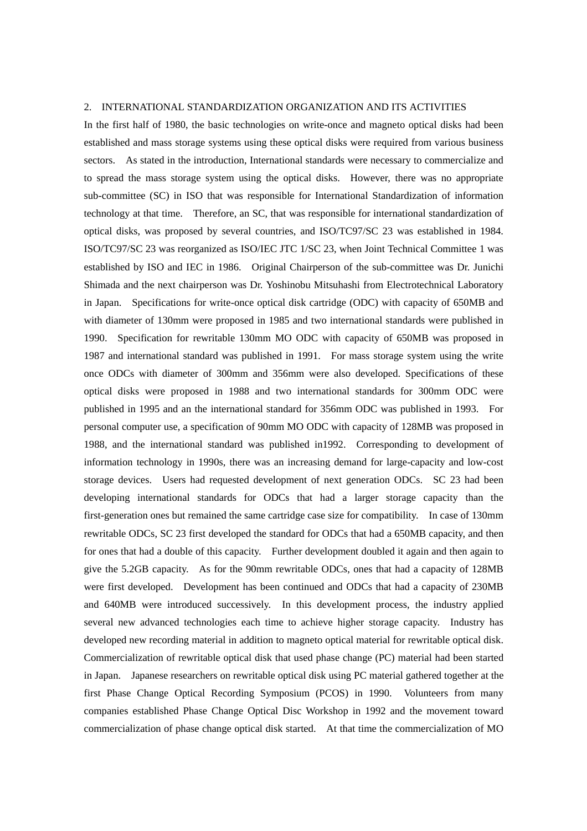# 2. INTERNATIONAL STANDARDIZATION ORGANIZATION AND ITS ACTIVITIES

In the first half of 1980, the basic technologies on write-once and magneto optical disks had been established and mass storage systems using these optical disks were required from various business sectors. As stated in the introduction, International standards were necessary to commercialize and to spread the mass storage system using the optical disks. However, there was no appropriate sub-committee (SC) in ISO that was responsible for International Standardization of information technology at that time. Therefore, an SC, that was responsible for international standardization of optical disks, was proposed by several countries, and ISO/TC97/SC 23 was established in 1984. ISO/TC97/SC 23 was reorganized as ISO/IEC JTC 1/SC 23, when Joint Technical Committee 1 was established by ISO and IEC in 1986. Original Chairperson of the sub-committee was Dr. Junichi Shimada and the next chairperson was Dr. Yoshinobu Mitsuhashi from Electrotechnical Laboratory in Japan. Specifications for write-once optical disk cartridge (ODC) with capacity of 650MB and with diameter of 130mm were proposed in 1985 and two international standards were published in 1990. Specification for rewritable 130mm MO ODC with capacity of 650MB was proposed in 1987 and international standard was published in 1991. For mass storage system using the write once ODCs with diameter of 300mm and 356mm were also developed. Specifications of these optical disks were proposed in 1988 and two international standards for 300mm ODC were published in 1995 and an the international standard for 356mm ODC was published in 1993. For personal computer use, a specification of 90mm MO ODC with capacity of 128MB was proposed in 1988, and the international standard was published in1992. Corresponding to development of information technology in 1990s, there was an increasing demand for large-capacity and low-cost storage devices. Users had requested development of next generation ODCs. SC 23 had been developing international standards for ODCs that had a larger storage capacity than the first-generation ones but remained the same cartridge case size for compatibility. In case of 130mm rewritable ODCs, SC 23 first developed the standard for ODCs that had a 650MB capacity, and then for ones that had a double of this capacity. Further development doubled it again and then again to give the 5.2GB capacity. As for the 90mm rewritable ODCs, ones that had a capacity of 128MB were first developed. Development has been continued and ODCs that had a capacity of 230MB and 640MB were introduced successively. In this development process, the industry applied several new advanced technologies each time to achieve higher storage capacity. Industry has developed new recording material in addition to magneto optical material for rewritable optical disk. Commercialization of rewritable optical disk that used phase change (PC) material had been started in Japan. Japanese researchers on rewritable optical disk using PC material gathered together at the first Phase Change Optical Recording Symposium (PCOS) in 1990. Volunteers from many companies established Phase Change Optical Disc Workshop in 1992 and the movement toward commercialization of phase change optical disk started. At that time the commercialization of MO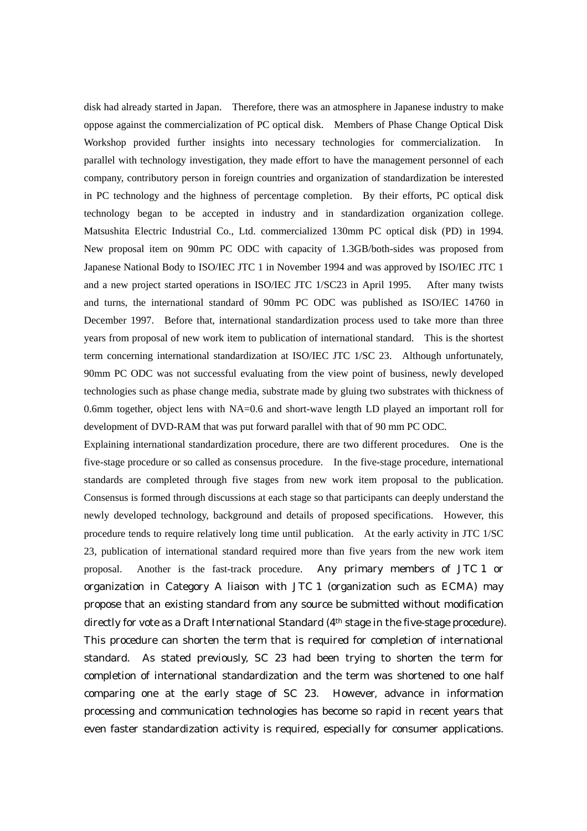disk had already started in Japan. Therefore, there was an atmosphere in Japanese industry to make oppose against the commercialization of PC optical disk. Members of Phase Change Optical Disk Workshop provided further insights into necessary technologies for commercialization. In parallel with technology investigation, they made effort to have the management personnel of each company, contributory person in foreign countries and organization of standardization be interested in PC technology and the highness of percentage completion. By their efforts, PC optical disk technology began to be accepted in industry and in standardization organization college. Matsushita Electric Industrial Co., Ltd. commercialized 130mm PC optical disk (PD) in 1994. New proposal item on 90mm PC ODC with capacity of 1.3GB/both-sides was proposed from Japanese National Body to ISO/IEC JTC 1 in November 1994 and was approved by ISO/IEC JTC 1 and a new project started operations in ISO/IEC JTC 1/SC23 in April 1995. After many twists and turns, the international standard of 90mm PC ODC was published as ISO/IEC 14760 in December 1997. Before that, international standardization process used to take more than three years from proposal of new work item to publication of international standard. This is the shortest term concerning international standardization at ISO/IEC JTC 1/SC 23. Although unfortunately, 90mm PC ODC was not successful evaluating from the view point of business, newly developed technologies such as phase change media, substrate made by gluing two substrates with thickness of 0.6mm together, object lens with NA=0.6 and short-wave length LD played an important roll for development of DVD-RAM that was put forward parallel with that of 90 mm PC ODC.

Explaining international standardization procedure, there are two different procedures. One is the five-stage procedure or so called as consensus procedure. In the five-stage procedure, international standards are completed through five stages from new work item proposal to the publication. Consensus is formed through discussions at each stage so that participants can deeply understand the newly developed technology, background and details of proposed specifications. However, this procedure tends to require relatively long time until publication. At the early activity in JTC 1/SC 23, publication of international standard required more than five years from the new work item proposal. Another is the fast-track procedure. Any primary members of JTC 1 or organization in Category A liaison with JTC 1 (organization such as ECMA) may propose that an existing standard from any source be submitted without modification directly for vote as a Draft International Standard (4th stage in the five-stage procedure). This procedure can shorten the term that is required for completion of international standard. As stated previously, SC 23 had been trying to shorten the term for completion of international standardization and the term was shortened to one half comparing one at the early stage of SC 23. However, advance in information processing and communication technologies has become so rapid in recent years that even faster standardization activity is required, especially for consumer applications.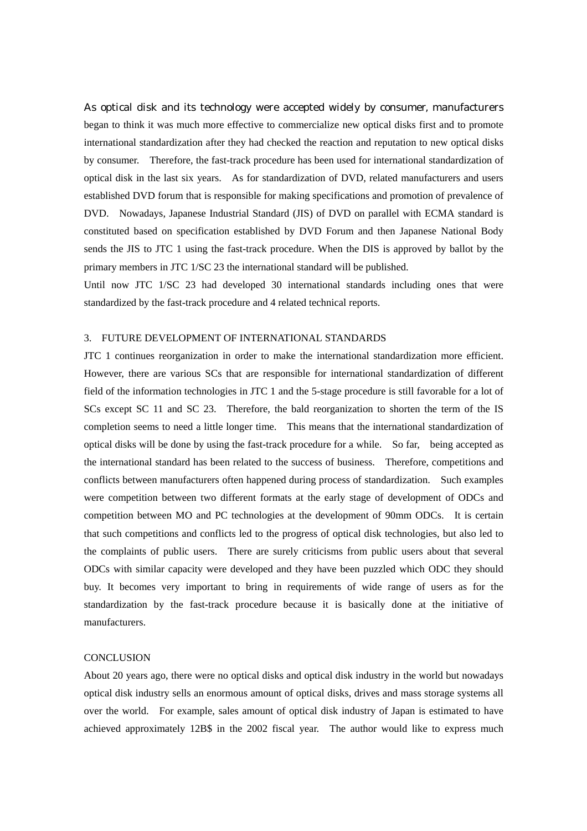As optical disk and its technology were accepted widely by consumer, manufacturers began to think it was much more effective to commercialize new optical disks first and to promote international standardization after they had checked the reaction and reputation to new optical disks by consumer. Therefore, the fast-track procedure has been used for international standardization of optical disk in the last six years. As for standardization of DVD, related manufacturers and users established DVD forum that is responsible for making specifications and promotion of prevalence of DVD. Nowadays, Japanese Industrial Standard (JIS) of DVD on parallel with ECMA standard is constituted based on specification established by DVD Forum and then Japanese National Body sends the JIS to JTC 1 using the fast-track procedure. When the DIS is approved by ballot by the primary members in JTC 1/SC 23 the international standard will be published.

Until now JTC 1/SC 23 had developed 30 international standards including ones that were standardized by the fast-track procedure and 4 related technical reports.

## 3. FUTURE DEVELOPMENT OF INTERNATIONAL STANDARDS

JTC 1 continues reorganization in order to make the international standardization more efficient. However, there are various SCs that are responsible for international standardization of different field of the information technologies in JTC 1 and the 5-stage procedure is still favorable for a lot of SCs except SC 11 and SC 23. Therefore, the bald reorganization to shorten the term of the IS completion seems to need a little longer time. This means that the international standardization of optical disks will be done by using the fast-track procedure for a while. So far, being accepted as the international standard has been related to the success of business. Therefore, competitions and conflicts between manufacturers often happened during process of standardization. Such examples were competition between two different formats at the early stage of development of ODCs and competition between MO and PC technologies at the development of 90mm ODCs. It is certain that such competitions and conflicts led to the progress of optical disk technologies, but also led to the complaints of public users. There are surely criticisms from public users about that several ODCs with similar capacity were developed and they have been puzzled which ODC they should buy. It becomes very important to bring in requirements of wide range of users as for the standardization by the fast-track procedure because it is basically done at the initiative of manufacturers.

### **CONCLUSION**

About 20 years ago, there were no optical disks and optical disk industry in the world but nowadays optical disk industry sells an enormous amount of optical disks, drives and mass storage systems all over the world. For example, sales amount of optical disk industry of Japan is estimated to have achieved approximately 12B\$ in the 2002 fiscal year. The author would like to express much